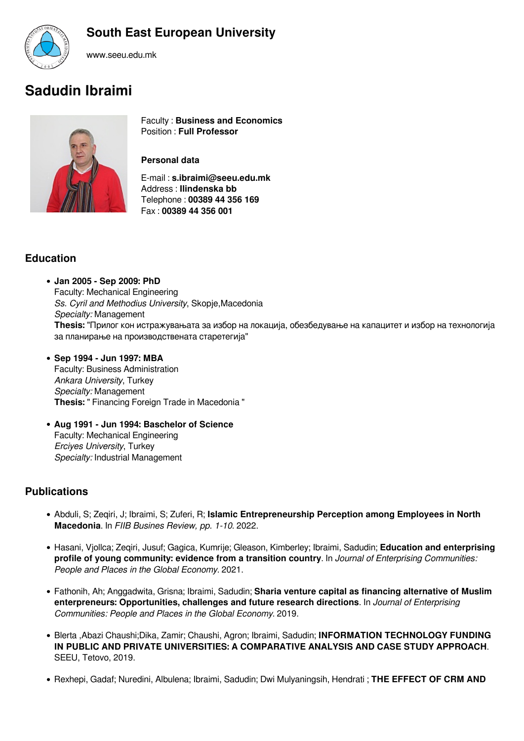# **South East European University**



www.seeu.edu.mk

# **Sadudin Ibraimi**



Faculty : **Business and Economics** Position : **Full Professor**

#### **Personal data**

E-mail : **s.ibraimi@seeu.edu.mk** Address : **Ilindenska bb** Telephone : **00389 44 356 169** Fax : **00389 44 356 001** 

## **Education**

- **Jan 2005 Sep 2009: PhD** Faculty: Mechanical Engineering *Ss. Cyril and Methodius University*, Skopje,Macedonia *Specialty:* Management **Thesis:** "Прилог кон истражувањата за избор на локација, обезбедување на капацитет и избор на технологија за планирање на производствената старетегија"
- **Sep 1994 Jun 1997: MBA** Faculty: Business Administration *Ankara University*, Turkey *Specialty:* Management **Thesis:** " Financing Foreign Trade in Macedonia "
- **Aug 1991 Jun 1994: Baschelor of Science** Faculty: Mechanical Engineering *Erciyes University*, Turkey *Specialty:* Industrial Management

## **Publications**

- Abduli, S; Zeqiri, J; Ibraimi, S; Zuferi, R; **Islamic Entrepreneurship Perception among Employees in North Macedonia**. In *FIIB Busines Review, pp. 1-10*. 2022.
- Hasani, Vjollca; Zeqiri, Jusuf; Gagica, Kumrije; Gleason, Kimberley; Ibraimi, Sadudin; **Education and enterprising profile of young community: evidence from a transition country**. In *Journal of Enterprising Communities: People and Places in the Global Economy*. 2021.
- Fathonih, Ah; Anggadwita, Grisna; Ibraimi, Sadudin; **Sharia venture capital as financing alternative of Muslim enterpreneurs: Opportunities, challenges and future research directions**. In *Journal of Enterprising Communities: People and Places in the Global Economy*. 2019.
- Blerta ,Abazi Chaushi;Dika, Zamir; Chaushi, Agron; Ibraimi, Sadudin; **INFORMATION TECHNOLOGY FUNDING IN PUBLIC AND PRIVATE UNIVERSITIES: A COMPARATIVE ANALYSIS AND CASE STUDY APPROACH**. SEEU, Tetovo, 2019.
- Rexhepi, Gadaf; Nuredini, Albulena; Ibraimi, Sadudin; Dwi Mulyaningsih, Hendrati ; **THE EFFECT OF CRM AND**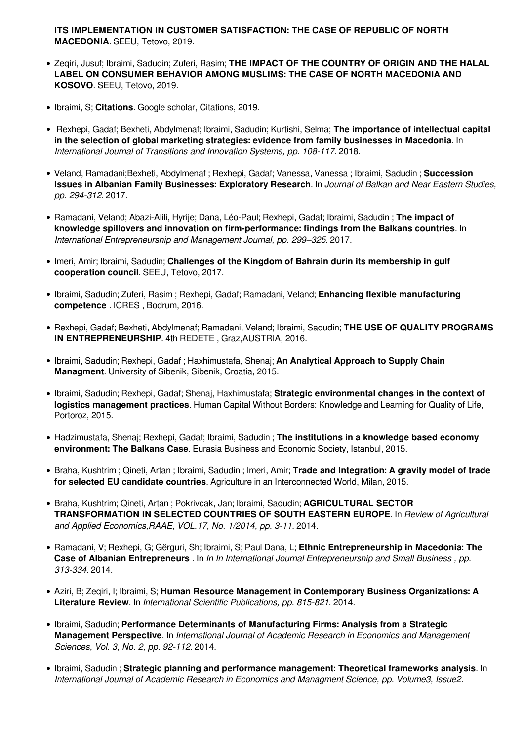**ITS IMPLEMENTATION IN CUSTOMER SATISFACTION: THE CASE OF REPUBLIC OF NORTH MACEDONIA**. SEEU, Tetovo, 2019.

- Zeqiri, Jusuf; Ibraimi, Sadudin; Zuferi, Rasim; **THE IMPACT OF THE COUNTRY OF ORIGIN AND THE HALAL LABEL ON CONSUMER BEHAVIOR AMONG MUSLIMS: THE CASE OF NORTH MACEDONIA AND KOSOVO**. SEEU, Tetovo, 2019.
- Ibraimi, S; **Citations**. Google scholar, Citations, 2019.
- Rexhepi, Gadaf; Bexheti, Abdylmenaf; Ibraimi, Sadudin; Kurtishi, Selma; **The importance of intellectual capital in the selection of global marketing strategies: evidence from family businesses in Macedonia**. In *International Journal of Transitions and Innovation Systems, pp. 108-117*. 2018.
- Veland, Ramadani;Bexheti, Abdylmenaf ; Rexhepi, Gadaf; Vanessa, Vanessa ; Ibraimi, Sadudin ; **Succession Issues in Albanian Family Businesses: Exploratory Research**. In *Journal of Balkan and Near Eastern Studies, pp. 294-312*. 2017.
- Ramadani, Veland; Abazi-Alili, Hyrije; Dana, Léo-Paul; Rexhepi, Gadaf; Ibraimi, Sadudin ; **The impact of knowledge spillovers and innovation on firm-performance: findings from the Balkans countries**. In *International Entrepreneurship and Management Journal, pp. 299–325*. 2017.
- Imeri, Amir; Ibraimi, Sadudin; **Challenges of the Kingdom of Bahrain durin its membership in gulf cooperation council**. SEEU, Tetovo, 2017.
- Ibraimi, Sadudin; Zuferi, Rasim ; Rexhepi, Gadaf; Ramadani, Veland; **Enhancing flexible manufacturing competence** . ICRES , Bodrum, 2016.
- Rexhepi, Gadaf; Bexheti, Abdylmenaf; Ramadani, Veland; Ibraimi, Sadudin; **THE USE OF QUALITY PROGRAMS IN ENTREPRENEURSHIP**. 4th REDETE , Graz,AUSTRIA, 2016.
- Ibraimi, Sadudin; Rexhepi, Gadaf ; Haxhimustafa, Shenaj; **An Analytical Approach to Supply Chain Managment**. University of Sibenik, Sibenik, Croatia, 2015.
- Ibraimi, Sadudin; Rexhepi, Gadaf; Shenaj, Haxhimustafa; **Strategic environmental changes in the context of logistics management practices**. Human Capital Without Borders: Knowledge and Learning for Quality of Life, Portoroz, 2015.
- Hadzimustafa, Shenaj; Rexhepi, Gadaf; Ibraimi, Sadudin ; **The institutions in a knowledge based economy environment: The Balkans Case**. Eurasia Business and Economic Society, Istanbul, 2015.
- Braha, Kushtrim ; Qineti, Artan ; Ibraimi, Sadudin ; Imeri, Amir; **Trade and Integration: A gravity model of trade for selected EU candidate countries**. Agriculture in an Interconnected World, Milan, 2015.
- Braha, Kushtrim; Qineti, Artan ; Pokrivcak, Jan; Ibraimi, Sadudin; **AGRICULTURAL SECTOR TRANSFORMATION IN SELECTED COUNTRIES OF SOUTH EASTERN EUROPE**. In *Review of Agricultural and Applied Economics,RAAE, VOL.17, No. 1/2014, pp. 3-11*. 2014.
- Ramadani, V; Rexhepi, G; Gërguri, Sh; Ibraimi, S; Paul Dana, L; **Ethnic Entrepreneurship in Macedonia: The Case of Albanian Entrepreneurs** . In *In In International Journal Entrepreneurship and Small Business , pp. 313-334*. 2014.
- Aziri, B; Zeqiri, I; Ibraimi, S; **Human Resource Management in Contemporary Business Organizations: A Literature Review**. In *International Scientific Publications, pp. 815-821*. 2014.
- Ibraimi, Sadudin; **Performance Determinants of Manufacturing Firms: Analysis from a Strategic Management Perspective**. In *International Journal of Academic Research in Economics and Management Sciences, Vol. 3, No. 2, pp. 92-112*. 2014.
- Ibraimi, Sadudin ; **Strategic planning and performance management: Theoretical frameworks analysis**. In *International Journal of Academic Research in Economics and Managment Science, pp. Volume3, Issue2.*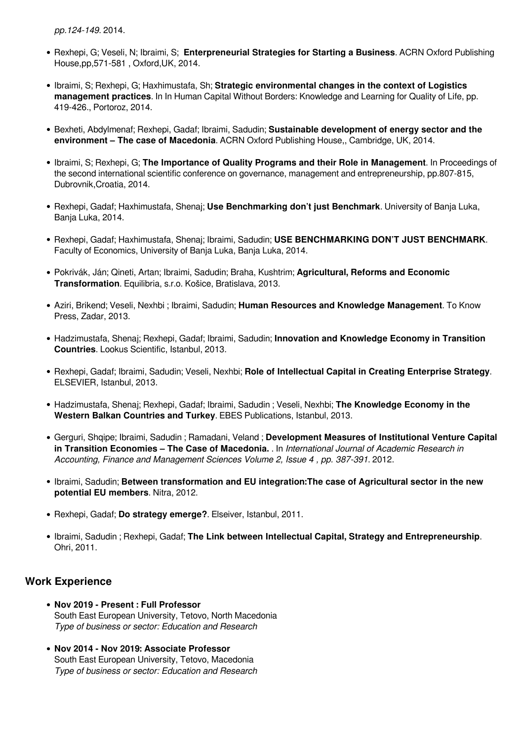*pp.124-149*. 2014.

- Rexhepi, G; Veseli, N; Ibraimi, S; **Enterpreneurial Strategies for Starting a Business**. ACRN Oxford Publishing House,pp,571-581 , Oxford,UK, 2014.
- Ibraimi, S; Rexhepi, G; Haxhimustafa, Sh; **Strategic environmental changes in the context of Logistics management practices**. In In Human Capital Without Borders: Knowledge and Learning for Quality of Life, pp. 419-426., Portoroz, 2014.
- Bexheti, Abdylmenaf; Rexhepi, Gadaf; Ibraimi, Sadudin; **Sustainable development of energy sector and the environment – The case of Macedonia**. ACRN Oxford Publishing House,, Cambridge, UK, 2014.
- Ibraimi, S; Rexhepi, G; **The Importance of Quality Programs and their Role in Management**. In Proceedings of the second international scientific conference on governance, management and entrepreneurship, pp.807-815, Dubrovnik,Croatia, 2014.
- Rexhepi, Gadaf; Haxhimustafa, Shenaj; **Use Benchmarking don't just Benchmark**. University of Banja Luka, Banja Luka, 2014.
- Rexhepi, Gadaf; Haxhimustafa, Shenaj; Ibraimi, Sadudin; **USE BENCHMARKING DON'T JUST BENCHMARK**. Faculty of Economics, University of Banja Luka, Banja Luka, 2014.
- Pokrivák, Ján; Qineti, Artan; Ibraimi, Sadudin; Braha, Kushtrim; **Agricultural, Reforms and Economic Transformation**. Equilibria, s.r.o. Košice, Bratislava, 2013.
- Aziri, Brikend; Veseli, Nexhbi ; Ibraimi, Sadudin; **Human Resources and Knowledge Management**. To Know Press, Zadar, 2013.
- Hadzimustafa, Shenaj; Rexhepi, Gadaf; Ibraimi, Sadudin; **Innovation and Knowledge Economy in Transition Countries**. Lookus Scientific, Istanbul, 2013.
- Rexhepi, Gadaf; Ibraimi, Sadudin; Veseli, Nexhbi; **Role of Intellectual Capital in Creating Enterprise Strategy**. ELSEVIER, Istanbul, 2013.
- Hadzimustafa, Shenaj; Rexhepi, Gadaf; Ibraimi, Sadudin ; Veseli, Nexhbi; **The Knowledge Economy in the Western Balkan Countries and Turkey**. EBES Publications, Istanbul, 2013.
- Gerguri, Shqipe; Ibraimi, Sadudin ; Ramadani, Veland ; **Development Measures of Institutional Venture Capital in Transition Economies – The Case of Macedonia.** . In *International Journal of Academic Research in Accounting, Finance and Management Sciences Volume 2, Issue 4 , pp. 387-391*. 2012.
- Ibraimi, Sadudin; **Between transformation and EU integration:The case of Agricultural sector in the new potential EU members**. Nitra, 2012.
- Rexhepi, Gadaf; **Do strategy emerge?**. Elseiver, Istanbul, 2011.
- Ibraimi, Sadudin ; Rexhepi, Gadaf; **The Link between Intellectual Capital, Strategy and Entrepreneurship**. Ohri, 2011.

#### **Work Experience**

- **Nov 2019 Present : Full Professor** South East European University, Tetovo, North Macedonia *Type of business or sector: Education and Research*
- **Nov 2014 Nov 2019: Associate Professor** South East European University, Tetovo, Macedonia *Type of business or sector: Education and Research*